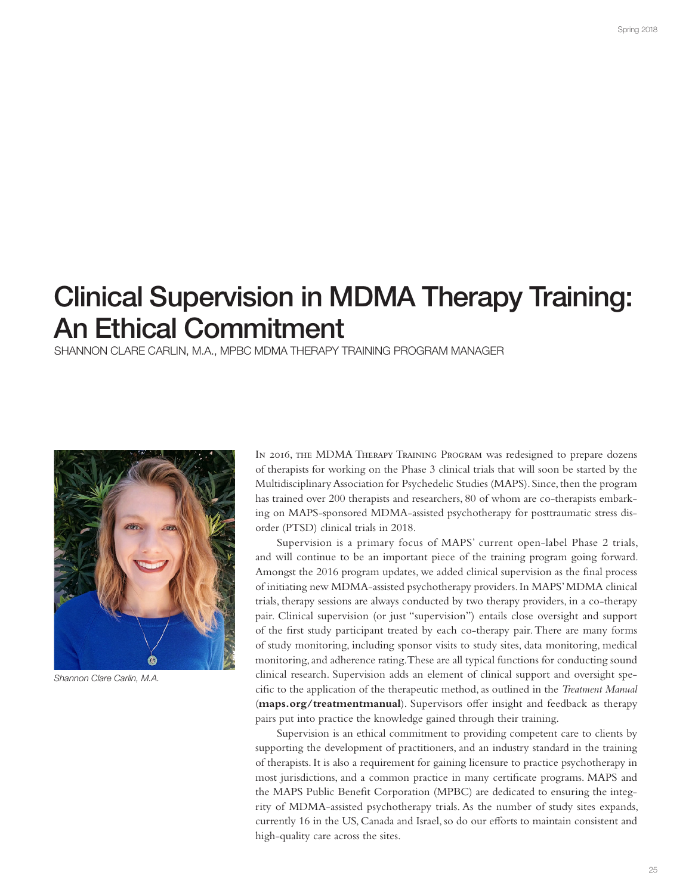## Clinical Supervision in MDMA Therapy Training: An Ethical Commitment

SHANNON CLARE CARLIN, M.A., MPBC MDMA THERAPY TRAINING PROGRAM MANAGER



Shannon Clare Carlin, M.A.

In 2016, the MDMA Therapy Training Program was redesigned to prepare dozens of therapists for working on the Phase 3 clinical trials that will soon be started by the Multidisciplinary Association for Psychedelic Studies (MAPS). Since, then the program has trained over 200 therapists and researchers, 80 of whom are co-therapists embarking on MAPS-sponsored MDMA-assisted psychotherapy for posttraumatic stress disorder (PTSD) clinical trials in 2018.

Supervision is a primary focus of MAPS' current open-label Phase 2 trials, and will continue to be an important piece of the training program going forward. Amongst the 2016 program updates, we added clinical supervision as the fnal process of initiating new MDMA-assisted psychotherapy providers. In MAPS' MDMA clinical trials, therapy sessions are always conducted by two therapy providers, in a co-therapy pair. Clinical supervision (or just "supervision") entails close oversight and support of the frst study participant treated by each co-therapy pair. There are many forms of study monitoring, including sponsor visits to study sites, data monitoring, medical monitoring, and adherence rating. These are all typical functions for conducting sound clinical research. Supervision adds an element of clinical support and oversight specifc to the application of the therapeutic method, as outlined in the *Treatment Manual*  (**maps.org/treatmentmanual**). Supervisors ofer insight and feedback as therapy pairs put into practice the knowledge gained through their training.

Supervision is an ethical commitment to providing competent care to clients by supporting the development of practitioners, and an industry standard in the training of therapists. It is also a requirement for gaining licensure to practice psychotherapy in most jurisdictions, and a common practice in many certifcate programs. MAPS and the MAPS Public Beneft Corporation (MPBC) are dedicated to ensuring the integrity of MDMA-assisted psychotherapy trials. As the number of study sites expands, currently 16 in the US, Canada and Israel, so do our eforts to maintain consistent and high-quality care across the sites.